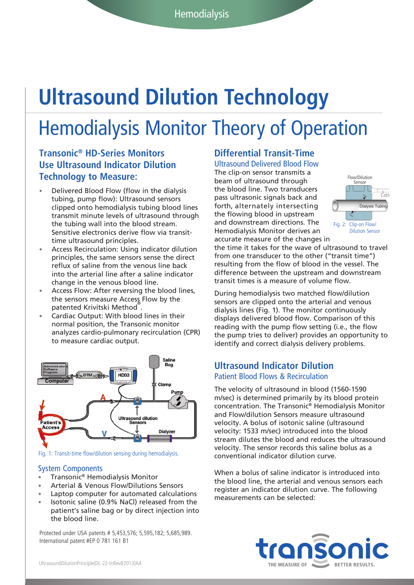# **Ultrasound Dilution Technology**  Hemodialysis Monitor Theory of Operation

### **Transonic® HD-Series Monitors Use Ultrasound Indicator Dilution Technology to Measure:**

- Delivered Blood Flow (flow in the dialysis tubing, pump flow): Ultrasound sensors clipped onto hemodialysis tubing blood lines transmit minute levels of ultrasound through the tubing wall into the blood stream. Sensitive electronics derive flow via transittime ultrasound principles.
- Access Recirculation: Using indicator dilution principles, the same sensors sense the direct reflux of saline from the venous line back into the arterial line after a saline indicator change in the venous blood line.
- Access Flow: After reversing the blood lines, the sensors measure Access Flow by the patented Krivitski Method®.
- Cardiac Output: With blood lines in their normal position, the Transonic monitor analyzes cardio-pulmonary recirculation (CPR) to measure cardiac output.



Fig. 1: Transit-time flow/dilution sensing during hemodialysis.

#### System Components

- Transonic® Hemodialysis Monitor
- Arterial & Venous Flow/Dilutions Sensors
- Laptop computer for automated calculations
- Isotonic saline (0.9% NaCl) released from the patient's saline bag or by direct injection into the blood line.

Protected under USA patents # 5,453,576; 5,595,182; 5,685,989. International patent #EP 0 781 161 B1

## **Differential Transit-Time**

Ultrasound Delivered Blood Flow The clip-on sensor transmits a beam of ultrasound through the blood line. Two transducers pass ultrasonic signals back and forth, alternately intersecting the flowing blood in upstream and downstream directions. The Hemodialysis Monitor derives an accurate measure of the changes in



the time it takes for the wave of ultrasound to travel from one transducer to the other ("transit time") resulting from the flow of blood in the vessel. The difference between the upstream and downstream transit times is a measure of volume flow.

During hemodialysis two matched flow/dilution sensors are clipped onto the arterial and venous dialysis lines (Fig. 1). The monitor continuously displays delivered blood flow. Comparison of this reading with the pump flow setting (i.e., the flow the pump tries to deliver) provides an opportunity to identify and correct dialysis delivery problems.

#### **Ultrasound Indicator Dilution** Patient Blood Flows & Recirculation

The velocity of ultrasound in blood (1560-1590 m/sec) is determined primarily by its blood protein concentration. The Transonic® Hemodialysis Monitor and Flow/dilution Sensors measure ultrasound velocity. A bolus of isotonic saline (ultrasound velocity: 1533 m/sec) introduced into the blood stream dilutes the blood and reduces the ultrasound velocity. The sensor records this saline bolus as a conventional indicator dilution curve.

When a bolus of saline indicator is introduced into the blood line, the arterial and venous sensors each register an indicator dilution curve. The following measurements can be selected: